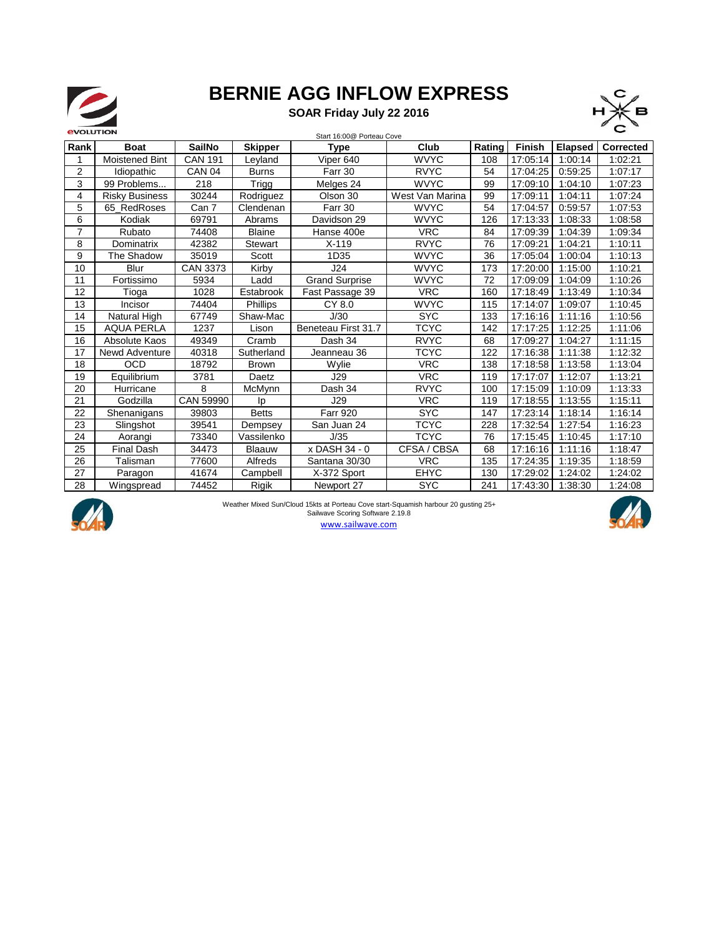

## **BERNIE AGG INFLOW EXPRESS**

### **SOAR Friday July 22 2016**



| <b><i><u>EVOLUTION</u></i></b><br>Start 16:00@ Porteau Cove |                       |                |                |                       |                 |        |               |                |           |  |
|-------------------------------------------------------------|-----------------------|----------------|----------------|-----------------------|-----------------|--------|---------------|----------------|-----------|--|
| Rank                                                        | <b>Boat</b>           | <b>SailNo</b>  | <b>Skipper</b> | <b>Type</b>           | Club            | Rating | <b>Finish</b> | <b>Elapsed</b> | Corrected |  |
| 1                                                           | <b>Moistened Bint</b> | <b>CAN 191</b> | Leyland        | Viper 640             | <b>WVYC</b>     | 108    | 17:05:14      | 1:00:14        | 1:02:21   |  |
| 2                                                           | Idiopathic            | <b>CAN 04</b>  | <b>Burns</b>   | Farr 30               | <b>RVYC</b>     | 54     | 17:04:25      | 0:59:25        | 1:07:17   |  |
| 3                                                           | 99 Problems           | 218            | <b>Trigg</b>   | Melges 24             | <b>WVYC</b>     | 99     | 17:09:10      | 1:04:10        | 1:07:23   |  |
| 4                                                           | <b>Risky Business</b> | 30244          | Rodriguez      | Olson 30              | West Van Marina | 99     | 17:09:11      | 1:04:11        | 1:07:24   |  |
| 5                                                           | 65 RedRoses           | Can 7          | Clendenan      | Farr 30               | <b>WVYC</b>     | 54     | 17:04:57      | 0:59:57        | 1:07:53   |  |
| 6                                                           | Kodiak                | 69791          | Abrams         | Davidson 29           | <b>WVYC</b>     | 126    | 17:13:33      | 1:08:33        | 1:08:58   |  |
| $\overline{7}$                                              | Rubato                | 74408          | <b>Blaine</b>  | Hanse 400e            | <b>VRC</b>      | 84     | 17:09:39      | 1:04:39        | 1:09:34   |  |
| 8                                                           | Dominatrix            | 42382          | <b>Stewart</b> | $X - 119$             | <b>RVYC</b>     | 76     | 17:09:21      | 1:04:21        | 1:10:11   |  |
| 9                                                           | The Shadow            | 35019          | Scott          | 1D35                  | <b>WVYC</b>     | 36     | 17:05:04      | 1:00:04        | 1:10:13   |  |
| 10                                                          | Blur                  | CAN 3373       | Kirby          | J24                   | <b>WVYC</b>     | 173    | 17:20:00      | 1:15:00        | 1:10:21   |  |
| 11                                                          | Fortissimo            | 5934           | Ladd           | <b>Grand Surprise</b> | <b>WVYC</b>     | 72     | 17:09:09      | 1:04:09        | 1:10:26   |  |
| 12                                                          | Tioga                 | 1028           | Estabrook      | Fast Passage 39       | <b>VRC</b>      | 160    | 17:18:49      | 1:13:49        | 1:10:34   |  |
| 13                                                          | Incisor               | 74404          | Phillips       | CY 8.0                | <b>WVYC</b>     | 115    | 17:14:07      | 1:09:07        | 1:10:45   |  |
| 14                                                          | Natural High          | 67749          | Shaw-Mac       | J/30                  | <b>SYC</b>      | 133    | 17:16:16      | 1:11:16        | 1:10:56   |  |
| 15                                                          | <b>AQUA PERLA</b>     | 1237           | Lison          | Beneteau First 31.7   | <b>TCYC</b>     | 142    | 17:17:25      | 1:12:25        | 1:11:06   |  |
| 16                                                          | Absolute Kaos         | 49349          | Cramb          | Dash 34               | <b>RVYC</b>     | 68     | 17:09:27      | 1:04:27        | 1:11:15   |  |
| 17                                                          | Newd Adventure        | 40318          | Sutherland     | Jeanneau 36           | TCYC            | 122    | 17:16:38      | 1:11:38        | 1:12:32   |  |
| 18                                                          | <b>OCD</b>            | 18792          | Brown          | Wylie                 | <b>VRC</b>      | 138    | 17:18:58      | 1:13:58        | 1:13:04   |  |
| 19                                                          | Equilibrium           | 3781           | Daetz          | J29                   | <b>VRC</b>      | 119    | 17:17:07      | 1:12:07        | 1:13:21   |  |
| 20                                                          | Hurricane             | 8              | McMynn         | Dash 34               | <b>RVYC</b>     | 100    | 17:15:09      | 1:10:09        | 1:13:33   |  |
| 21                                                          | Godzilla              | CAN 59990      | lp             | J <sub>29</sub>       | <b>VRC</b>      | 119    | 17:18:55      | 1:13:55        | 1:15:11   |  |
| 22                                                          | Shenanigans           | 39803          | <b>Betts</b>   | <b>Farr 920</b>       | <b>SYC</b>      | 147    | 17:23:14      | 1:18:14        | 1:16:14   |  |
| 23                                                          | Slingshot             | 39541          | Dempsey        | San Juan 24           | <b>TCYC</b>     | 228    | 17:32:54      | 1:27:54        | 1:16:23   |  |
| 24                                                          | Aorangi               | 73340          | Vassilenko     | J/35                  | <b>TCYC</b>     | 76     | 17:15:45      | 1:10:45        | 1:17:10   |  |
| 25                                                          | <b>Final Dash</b>     | 34473          | <b>Blaauw</b>  | x DASH 34 - 0         | CFSA / CBSA     | 68     | 17:16:16      | 1:11:16        | 1:18:47   |  |
| 26                                                          | Talisman              | 77600          | Alfreds        | Santana 30/30         | <b>VRC</b>      | 135    | 17:24:35      | 1:19:35        | 1:18:59   |  |
| 27                                                          | Paragon               | 41674          | Campbell       | X-372 Sport           | <b>EHYC</b>     | 130    | 17:29:02      | 1:24:02        | 1:24:02   |  |
| 28                                                          | Wingspread            | 74452          | Rigik          | Newport 27            | <b>SYC</b>      | 241    | 17:43:30      | 1:38:30        | 1:24:08   |  |



Weather Mixed Sun/Cloud 15kts at Porteau Cove start-Squamish harbour 20 gusting 25+<br>Sailwave Scoring Software 2.19.8 www.sailwave.com

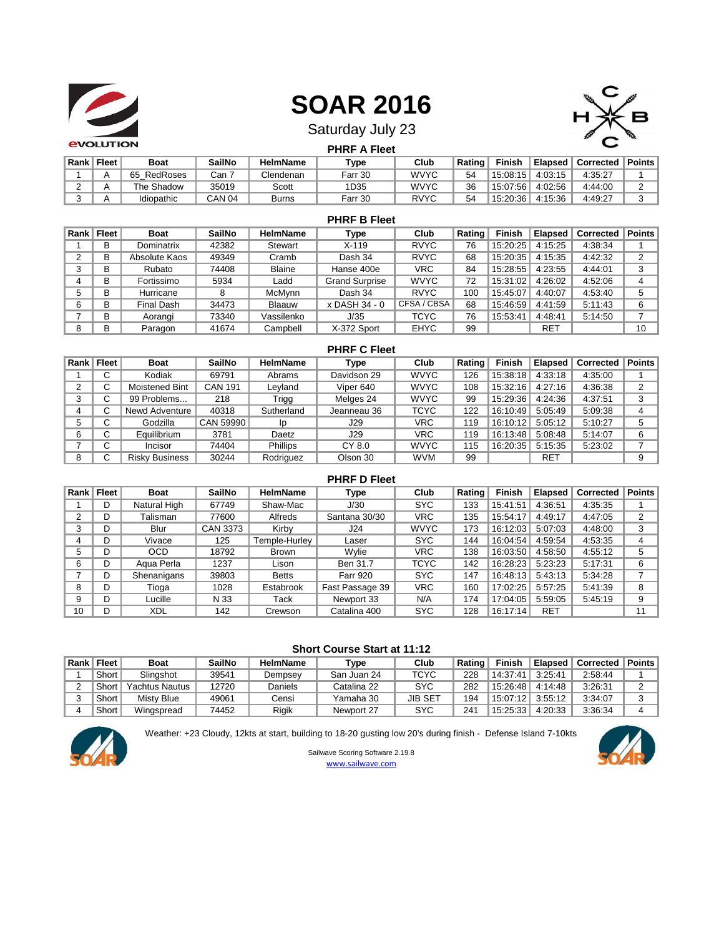

# **SOAR 2016**



Saturday July 23

|   | <b><i><u>EVOLUTION</u></i></b> |             |               |                 | <b>PHRF A Fleet</b> |             |        |          |                | $\overline{\phantom{a}}$ |               |
|---|--------------------------------|-------------|---------------|-----------------|---------------------|-------------|--------|----------|----------------|--------------------------|---------------|
|   | Rank   Fleet                   | Boat        | <b>SailNo</b> | <b>HelmName</b> | Type                | Club        | Rating | Finish   | <b>Elapsed</b> | <b>Corrected</b>         | <b>Points</b> |
|   | А                              | 65 RedRoses | Can 7         | Clendenan       | Farr 30             | <b>WVYC</b> | 54     | 15:08:15 | 4:03:15        | 4:35:27                  |               |
| ◠ |                                | The Shadow  | 35019         | Scott           | 1D35                | <b>WVYC</b> | 36     | 15:07:56 | 4:02:56        | 4:44:00                  | ∸             |
|   |                                | Idiopathic  | CAN 04        | <b>Burns</b>    | Farr 30             | <b>RVYC</b> | 54     | 15:20:36 | 4:15:36        | 4:49:27                  |               |

| <b>PHRF B Fleet</b> |              |                   |               |                 |                       |             |        |               |                |                  |               |  |
|---------------------|--------------|-------------------|---------------|-----------------|-----------------------|-------------|--------|---------------|----------------|------------------|---------------|--|
|                     | Rank   Fleet | <b>Boat</b>       | <b>SailNo</b> | <b>HelmName</b> | Type                  | Club        | Rating | <b>Finish</b> | <b>Elapsed</b> | <b>Corrected</b> | <b>Points</b> |  |
|                     | B            | Dominatrix        | 42382         | Stewart         | $X-119$               | <b>RVYC</b> | 76     | 15:20:25      | 4:15:25        | 4:38:34          |               |  |
|                     | B            | Absolute Kaos     | 49349         | Cramb           | Dash 34               | <b>RVYC</b> | 68     | 15:20:35      | 4:15:35        | 4:42:32          | 2             |  |
|                     | B            | Rubato            | 74408         | <b>Blaine</b>   | Hanse 400e            | <b>VRC</b>  | 84     | 15:28:55      | 4:23:55        | 4:44:01          | 3             |  |
|                     | B            | Fortissimo        | 5934          | Ladd            | <b>Grand Surprise</b> | <b>WVYC</b> | 72     | 15:31:02      | 4:26:02        | 4:52:06          | 4             |  |
| 5                   | B            | Hurricane         | 8             | McMynn          | Dash 34               | <b>RVYC</b> | 100    | 15:45:07      | 4:40:07        | 4:53:40          | 5             |  |
| 6                   | B            | <b>Final Dash</b> | 34473         | Blaauw          | x DASH 34 - 0         | CFSA / CBSA | 68     | 15:46:59      | 4:41:59        | 5:11:43          | 6             |  |
|                     | B            | Aorangi           | 73340         | Vassilenko      | J/35                  | <b>TCYC</b> | 76     | 15:53:41      | 4:48:41        | 5:14:50          |               |  |
| 8                   | B            | Paragon           | 41674         | Campbell        | X-372 Sport           | <b>EHYC</b> | 99     |               | <b>RET</b>     |                  | 10            |  |

#### **PHRF C Fleet**

| Rank | Fleet | Boat                  | <b>SailNo</b>  | <b>HelmName</b> | Type        | Club        | Rating | Finish   | <b>Elapsed</b> | <b>Corrected</b> | <b>Points</b> |
|------|-------|-----------------------|----------------|-----------------|-------------|-------------|--------|----------|----------------|------------------|---------------|
|      | С     | Kodiak                | 69791          | Abrams          | Davidson 29 | <b>WVYC</b> | 126    | 15:38:18 | 4:33:18        | 4:35:00          |               |
|      | С     | Moistened Bint        | <b>CAN 191</b> | Leyland         | Viper 640   | <b>WVYC</b> | 108    | 15:32:16 | 4:27:16        | 4:36:38          | 2             |
|      |       | 99 Problems           | 218            | Trigg           | Melges 24   | <b>WVYC</b> | 99     | 15:29:36 | 4:24:36        | 4:37:51          | 3             |
|      |       | Newd Adventure        | 40318          | Sutherland      | Jeanneau 36 | <b>TCYC</b> | 122    | 16:10:49 | 5:05:49        | 5:09:38          | 4             |
|      | ◡     | Godzilla              | CAN 59990      | Ip              | J29         | <b>VRC</b>  | 119    | 16:10:12 | 5:05:12        | 5:10:27          | 5             |
| 6    | C     | Equilibrium           | 3781           | Daetz           | J29         | VRC         | 119    | 16:13:48 | 5:08:48        | 5:14:07          | 6             |
|      | C     | Incisor               | 74404          | <b>Phillips</b> | CY 8.0      | <b>WVYC</b> | 115    | 16:20:35 | 5:15:35        | 5:23:02          |               |
| 8    | C     | <b>Risky Business</b> | 30244          | Rodriguez       | Olson 30    | <b>WVM</b>  | 99     |          | RET            |                  | 9             |

| <b>PHRF D Fleet</b> |              |              |          |                 |                 |             |        |          |                |           |               |  |
|---------------------|--------------|--------------|----------|-----------------|-----------------|-------------|--------|----------|----------------|-----------|---------------|--|
|                     | Rank   Fleet | <b>Boat</b>  | SailNo   | <b>HelmName</b> | Type            | Club        | Rating | Finish   | <b>Elapsed</b> | Corrected | <b>Points</b> |  |
|                     | D            | Natural High | 67749    | Shaw-Mac        | J/30            | <b>SYC</b>  | 133    | 15:41:51 | 4:36:51        | 4:35:35   |               |  |
|                     | D            | Talisman     | 77600    | Alfreds         | Santana 30/30   | <b>VRC</b>  | 135    | 15:54:17 | 4:49:17        | 4:47:05   | 2             |  |
| 3                   | D            | Blur         | CAN 3373 | Kirby           | J24             | <b>WVYC</b> | 173    | 16:12:03 | 5:07:03        | 4:48:00   | 3             |  |
| 4                   | D            | Vivace       | 125      | Temple-Hurley   | Laser           | <b>SYC</b>  | 144    | 16:04:54 | 4:59:54        | 4:53:35   | 4             |  |
| 5                   | D            | OCD          | 18792    | <b>Brown</b>    | Wvlie           | <b>VRC</b>  | 138    | 16:03:50 | 4:58:50        | 4:55:12   | 5             |  |
| 6                   | D            | Aqua Perla   | 1237     | Lison           | Ben 31.7        | <b>TCYC</b> | 142    | 16:28:23 | 5:23:23        | 5:17:31   | 6             |  |
|                     | D            | Shenanigans  | 39803    | <b>Betts</b>    | <b>Farr 920</b> | <b>SYC</b>  | 147    | 16:48:13 | 5:43:13        | 5:34:28   | ⇁             |  |
| 8                   | D            | Tioga        | 1028     | Estabrook       | Fast Passage 39 | <b>VRC</b>  | 160    | 17:02:25 | 5:57:25        | 5:41:39   | 8             |  |
| 9                   | D            | Lucille      | N 33     | Tack            | Newport 33      | N/A         | 174    | 17:04:05 | 5:59:05        | 5:45:19   | 9             |  |
| 10                  | D            | <b>XDL</b>   | 142      | Crewson         | Catalina 400    | <b>SYC</b>  | 128    | 16:17:14 | <b>RET</b>     |           | 11            |  |

#### **Short Course Start at 11:12**

| Rank | Fleet | Boat           | SailNo | <b>HelmName</b> | Type        | Club       | Rating | Finish   | <b>Elapsed</b> | <b>Corrected   Points</b> |  |
|------|-------|----------------|--------|-----------------|-------------|------------|--------|----------|----------------|---------------------------|--|
|      | Short | Slinashot      | 39541  | Dempsev         | San Juan 24 | TCYC       | 228    | 14:37:41 | 3:25:41        | 2:58:44                   |  |
|      | Short | Yachtus Nautus | 12720  | Daniels         | Catalina 22 | SYC        | 282    | 15:26:48 | 4:14:48        | 3:26:31                   |  |
|      | Short | Misty Blue     | 49061  | Censi           | Yamaha 30   | JIB SET    | 194    | 15:07:12 | 3:55:12        | 3:34:07                   |  |
|      | Short | Wingspread     | 74452  | Rigik           | Newport 27  | <b>SYC</b> | 241    | 15:25:33 | 4:20:33        | 3:36:34                   |  |



Weather: +23 Cloudy, 12kts at start, building to 18-20 gusting low 20's during finish - Defense Island 7-10kts



Sailwave Scoring Software 2.19.8 www.sailwave.com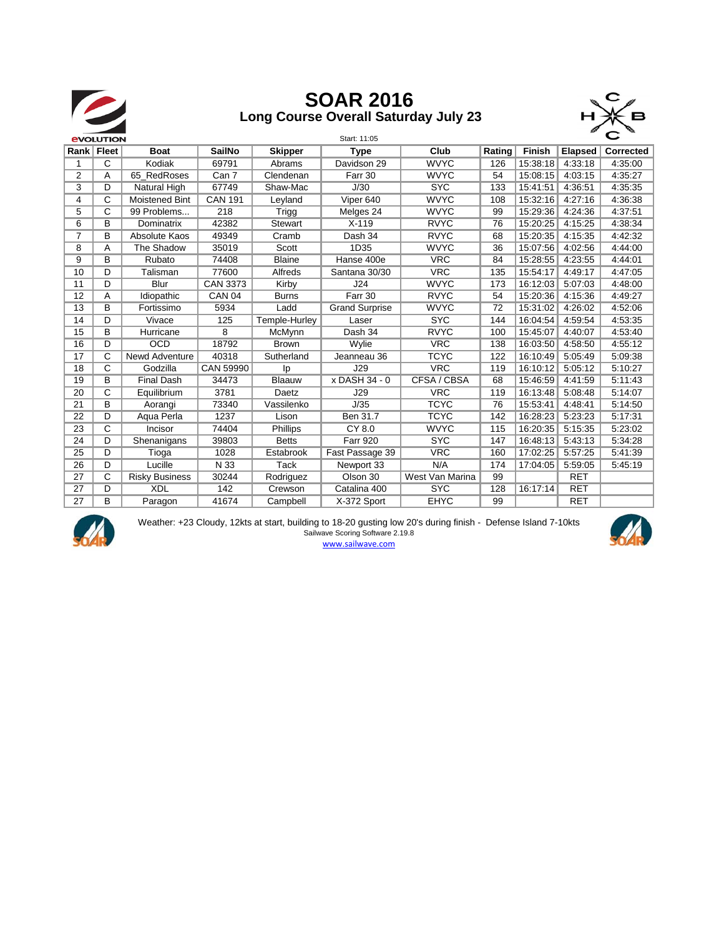

### **Long Course Overall Saturday July 23 SOAR 2016**



|                | <b><i><u>EVOLUTION</u></i></b> |                       |                 |                | Start: 11:05          |                 |        |               |                |           |
|----------------|--------------------------------|-----------------------|-----------------|----------------|-----------------------|-----------------|--------|---------------|----------------|-----------|
| Rank   Fleet   |                                | <b>Boat</b>           | <b>SailNo</b>   | <b>Skipper</b> | <b>Type</b>           | Club            | Rating | <b>Finish</b> | <b>Elapsed</b> | Corrected |
|                | С                              | Kodiak                | 69791           | Abrams         | Davidson 29           | <b>WVYC</b>     | 126    | 15:38:18      | 4:33:18        | 4:35:00   |
| $\overline{2}$ | Α                              | 65 RedRoses           | Can 7           | Clendenan      | Farr 30               | <b>WVYC</b>     | 54     | 15:08:15      | 4:03:15        | 4:35:27   |
| 3              | D                              | <b>Natural High</b>   | 67749           | Shaw-Mac       | J/30                  | <b>SYC</b>      | 133    | 15:41:51      | 4:36:51        | 4:35:35   |
| 4              | С                              | <b>Moistened Bint</b> | <b>CAN 191</b>  | Leyland        | Viper 640             | <b>WVYC</b>     | 108    | 15:32:16      | 4:27:16        | 4:36:38   |
| 5              | С                              | 99 Problems           | 218             | Trigg          | Melges 24             | <b>WVYC</b>     | 99     | 15:29:36      | 4:24:36        | 4:37:51   |
| 6              | B                              | Dominatrix            | 42382           | <b>Stewart</b> | $X-119$               | <b>RVYC</b>     | 76     | 15:20:25      | 4:15:25        | 4:38:34   |
| 7              | B                              | Absolute Kaos         | 49349           | Cramb          | Dash 34               | <b>RVYC</b>     | 68     | 15:20:35      | 4:15:35        | 4:42:32   |
| 8              | A                              | The Shadow            | 35019           | Scott          | 1D35                  | <b>WVYC</b>     | 36     | 15:07:56      | 4:02:56        | 4:44:00   |
| 9              | B                              | Rubato                | 74408           | <b>Blaine</b>  | Hanse 400e            | <b>VRC</b>      | 84     | 15:28:55      | 4:23:55        | 4:44:01   |
| 10             | D                              | Talisman              | 77600           | Alfreds        | Santana 30/30         | <b>VRC</b>      | 135    | 15:54:17      | 4:49:17        | 4:47:05   |
| 11             | D                              | Blur                  | <b>CAN 3373</b> | Kirby          | J24                   | <b>WVYC</b>     | 173    | 16:12:03      | 5:07:03        | 4:48:00   |
| 12             | A                              | Idiopathic            | <b>CAN 04</b>   | <b>Burns</b>   | Farr 30               | <b>RVYC</b>     | 54     | 15:20:36      | 4:15:36        | 4:49:27   |
| 13             | B                              | Fortissimo            | 5934            | Ladd           | <b>Grand Surprise</b> | <b>WVYC</b>     | 72     | 15:31:02      | 4:26:02        | 4:52:06   |
| 14             | D                              | Vivace                | 125             | Temple-Hurley  | Laser                 | <b>SYC</b>      | 144    | 16:04:54      | 4:59:54        | 4:53:35   |
| 15             | B                              | Hurricane             | 8               | McMynn         | Dash 34               | <b>RVYC</b>     | 100    | 15:45:07      | 4:40:07        | 4:53:40   |
| 16             | D                              | <b>OCD</b>            | 18792           | <b>Brown</b>   | Wylie                 | <b>VRC</b>      | 138    | 16:03:50      | 4:58:50        | 4:55:12   |
| 17             | С                              | <b>Newd Adventure</b> | 40318           | Sutherland     | Jeanneau 36           | <b>TCYC</b>     | 122    | 16:10:49      | 5:05:49        | 5:09:38   |
| 18             | C                              | Godzilla              | CAN 59990       | Ip             | J29                   | <b>VRC</b>      | 119    | 16:10:12      | 5:05:12        | 5:10:27   |
| 19             | B                              | <b>Final Dash</b>     | 34473           | Blaauw         | x DASH 34 - 0         | CFSA / CBSA     | 68     | 15:46:59      | 4:41:59        | 5:11:43   |
| 20             | C                              | Equilibrium           | 3781            | Daetz          | J29                   | <b>VRC</b>      | 119    | 16:13:48      | 5:08:48        | 5:14:07   |
| 21             | B                              | Aorangi               | 73340           | Vassilenko     | J/35                  | <b>TCYC</b>     | 76     | 15:53:41      | 4:48:41        | 5:14:50   |
| 22             | D                              | Aqua Perla            | 1237            | Lison          | Ben 31.7              | <b>TCYC</b>     | 142    | 16:28:23      | 5:23:23        | 5:17:31   |
| 23             | C                              | Incisor               | 74404           | Phillips       | CY 8.0                | <b>WVYC</b>     | 115    | 16:20:35      | 5:15:35        | 5:23:02   |
| 24             | D                              | Shenanigans           | 39803           | <b>Betts</b>   | <b>Farr 920</b>       | <b>SYC</b>      | 147    | 16:48:13      | 5:43:13        | 5:34:28   |
| 25             | D                              | Tioga                 | 1028            | Estabrook      | Fast Passage 39       | <b>VRC</b>      | 160    | 17:02:25      | 5:57:25        | 5:41:39   |
| 26             | D                              | Lucille               | N 33            | Tack           | Newport 33            | N/A             | 174    | 17:04:05      | 5:59:05        | 5:45:19   |
| 27             | С                              | <b>Risky Business</b> | 30244           | Rodriguez      | Olson 30              | West Van Marina | 99     |               | <b>RET</b>     |           |
| 27             | D                              | <b>XDL</b>            | 142             | Crewson        | Catalina 400          | <b>SYC</b>      | 128    | 16:17:14      | <b>RET</b>     |           |
| 27             | в                              | Paragon               | 41674           | Campbell       | X-372 Sport           | <b>EHYC</b>     | 99     |               | <b>RET</b>     |           |



Sailwave Scoring Software 2.19.8 www.sailwave.com Weather: +23 Cloudy, 12kts at start, building to 18-20 gusting low 20's during finish - Defense Island 7-10kts

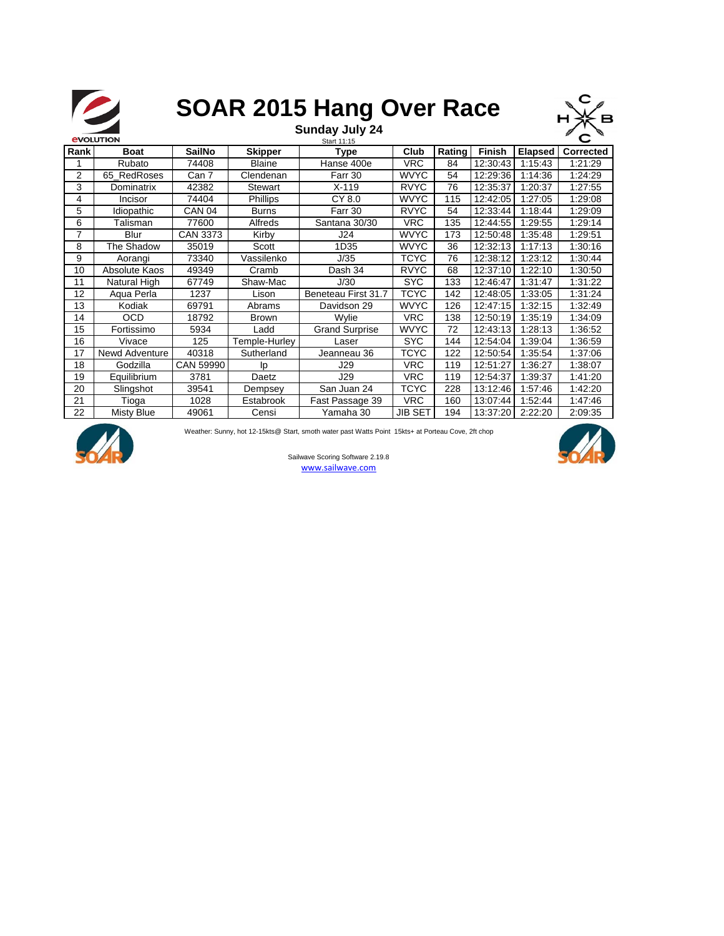

### **SOAR 2015 Hang Over Race Sunday July 24**



|      | <b><i><u>EVOLUTION</u></i></b> |                   |                 | Start 11:15           |                |        |               |                |                  |
|------|--------------------------------|-------------------|-----------------|-----------------------|----------------|--------|---------------|----------------|------------------|
| Rank | <b>Boat</b>                    | <b>SailNo</b>     | <b>Skipper</b>  | <b>Type</b>           | Club           | Rating | <b>Finish</b> | <b>Elapsed</b> | <b>Corrected</b> |
|      | Rubato                         | 74408             | <b>Blaine</b>   | Hanse 400e            | <b>VRC</b>     | 84     | 12:30:43      | 1:15:43        | 1:21:29          |
| 2    | 65 RedRoses                    | Can 7             | Clendenan       | Farr 30               | <b>WVYC</b>    | 54     | 12:29:36      | 1:14:36        | 1:24:29          |
| 3    | Dominatrix                     | 42382             | Stewart         | $X-119$               | <b>RVYC</b>    | 76     | 12:35:37      | 1:20:37        | 1:27:55          |
| 4    | <b>Incisor</b>                 | 74404             | <b>Phillips</b> | CY 8.0                | <b>WVYC</b>    | 115    | 12:42:05      | 1:27:05        | 1:29:08          |
| 5    | Idiopathic                     | CAN <sub>04</sub> | <b>Burns</b>    | Farr 30               | <b>RVYC</b>    | 54     | 12:33:44      | 1:18:44        | 1:29.09          |
| 6    | Talisman                       | 77600             | Alfreds         | Santana 30/30         | <b>VRC</b>     | 135    | 12:44:55      | 1:29:55        | 1:29:14          |
| 7    | Blur                           | <b>CAN 3373</b>   | Kirby           | J24                   | <b>WVYC</b>    | 173    | 12:50:48      | 1:35:48        | 1:29:51          |
| 8    | The Shadow                     | 35019             | Scott           | 1D35                  | <b>WVYC</b>    | 36     | 12:32:13      | 1:17:13        | 1:30:16          |
| 9    | Aorangi                        | 73340             | Vassilenko      | J/35                  | <b>TCYC</b>    | 76     | 12:38:12      | 1:23:12        | 1:30:44          |
| 10   | Absolute Kaos                  | 49349             | Cramb           | Dash 34               | <b>RVYC</b>    | 68     | 12:37:10      | 1:22:10        | 1:30:50          |
| 11   | Natural High                   | 67749             | Shaw-Mac        | J/30                  | <b>SYC</b>     | 133    | 12:46:47      | 1:31:47        | 1:31.22          |
| 12   | Aqua Perla                     | 1237              | Lison           | Beneteau First 31.7   | <b>TCYC</b>    | 142    | 12:48:05      | 1:33:05        | 1:31:24          |
| 13   | Kodiak                         | 69791             | Abrams          | Davidson 29           | <b>WVYC</b>    | 126    | 12:47:15      | 1:32:15        | 1:32:49          |
| 14   | OCD                            | 18792             | <b>Brown</b>    | Wylie                 | <b>VRC</b>     | 138    | 12:50:19      | 1:35:19        | 1:34:09          |
| 15   | Fortissimo                     | 5934              | Ladd            | <b>Grand Surprise</b> | <b>WVYC</b>    | 72     | 12:43:13      | 1:28:13        | 1:36:52          |
| 16   | Vivace                         | 125               | Temple-Hurley   | Laser                 | <b>SYC</b>     | 144    | 12:54:04      | 1:39:04        | 1:36:59          |
| 17   | Newd Adventure                 | 40318             | Sutherland      | Jeanneau 36           | <b>TCYC</b>    | 122    | 12:50:54      | 1:35:54        | 1:37:06          |
| 18   | Godzilla                       | CAN 59990         | Ip              | J29                   | <b>VRC</b>     | 119    | 12:51:27      | 1:36:27        | 1:38:07          |
| 19   | Equilibrium                    | 3781              | Daetz           | J29                   | <b>VRC</b>     | 119    | 12:54:37      | 1:39:37        | 1:41:20          |
| 20   | Slingshot                      | 39541             | Dempsey         | San Juan 24           | TCYC           | 228    | 13:12:46      | 1:57:46        | 1:42:20          |
| 21   | Tioga                          | 1028              | Estabrook       | Fast Passage 39       | <b>VRC</b>     | 160    | 13:07:44      | 1:52:44        | 1:47:46          |
| 22   | Misty Blue                     | 49061             | Censi           | Yamaha 30             | <b>JIB SET</b> | 194    | 13:37:20      | 2:22:20        | 2:09:35          |



Weather: Sunny, hot 12-15kts@ Start, smoth water past Watts Point 15kts+ at Porteau Cove, 2ft chop



Sailwave Scoring Software 2.19.8 www.sailwave.com